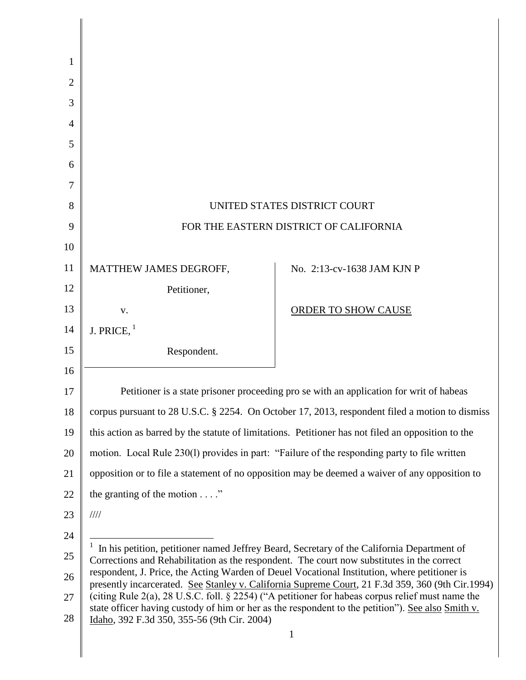| 1  |                                                                                                                                                                                                       |                            |  |
|----|-------------------------------------------------------------------------------------------------------------------------------------------------------------------------------------------------------|----------------------------|--|
| 2  |                                                                                                                                                                                                       |                            |  |
| 3  |                                                                                                                                                                                                       |                            |  |
| 4  |                                                                                                                                                                                                       |                            |  |
| 5  |                                                                                                                                                                                                       |                            |  |
| 6  |                                                                                                                                                                                                       |                            |  |
| 7  |                                                                                                                                                                                                       |                            |  |
| 8  | UNITED STATES DISTRICT COURT                                                                                                                                                                          |                            |  |
| 9  | FOR THE EASTERN DISTRICT OF CALIFORNIA                                                                                                                                                                |                            |  |
| 10 |                                                                                                                                                                                                       |                            |  |
| 11 | MATTHEW JAMES DEGROFF,                                                                                                                                                                                | No. 2:13-cv-1638 JAM KJN P |  |
| 12 | Petitioner,                                                                                                                                                                                           |                            |  |
| 13 | V.                                                                                                                                                                                                    | ORDER TO SHOW CAUSE        |  |
| 14 | J. PRICE, $1$                                                                                                                                                                                         |                            |  |
| 15 | Respondent.                                                                                                                                                                                           |                            |  |
| 16 |                                                                                                                                                                                                       |                            |  |
| 17 | Petitioner is a state prisoner proceeding pro se with an application for writ of habeas                                                                                                               |                            |  |
| 18 | corpus pursuant to 28 U.S.C. § 2254. On October 17, 2013, respondent filed a motion to dismiss                                                                                                        |                            |  |
| 19 | this action as barred by the statute of limitations. Petitioner has not filed an opposition to the                                                                                                    |                            |  |
| 20 | motion. Local Rule 230(1) provides in part: "Failure of the responding party to file written                                                                                                          |                            |  |
| 21 | opposition or to file a statement of no opposition may be deemed a waiver of any opposition to                                                                                                        |                            |  |
| 22 | the granting of the motion $\dots$ .                                                                                                                                                                  |                            |  |
| 23 | 1111                                                                                                                                                                                                  |                            |  |
| 24 |                                                                                                                                                                                                       |                            |  |
| 25 | In his petition, petitioner named Jeffrey Beard, Secretary of the California Department of<br>Corrections and Rehabilitation as the respondent. The court now substitutes in the correct              |                            |  |
| 26 | respondent, J. Price, the Acting Warden of Deuel Vocational Institution, where petitioner is<br>presently incarcerated. See Stanley v. California Supreme Court, 21 F.3d 359, 360 (9th Cir.1994)      |                            |  |
| 27 | (citing Rule 2(a), 28 U.S.C. foll. § 2254) ("A petitioner for habeas corpus relief must name the<br>state officer having custody of him or her as the respondent to the petition"). See also Smith v. |                            |  |
| 28 | Idaho, 392 F.3d 350, 355-56 (9th Cir. 2004)                                                                                                                                                           |                            |  |
|    |                                                                                                                                                                                                       | $\mathbf{1}$               |  |